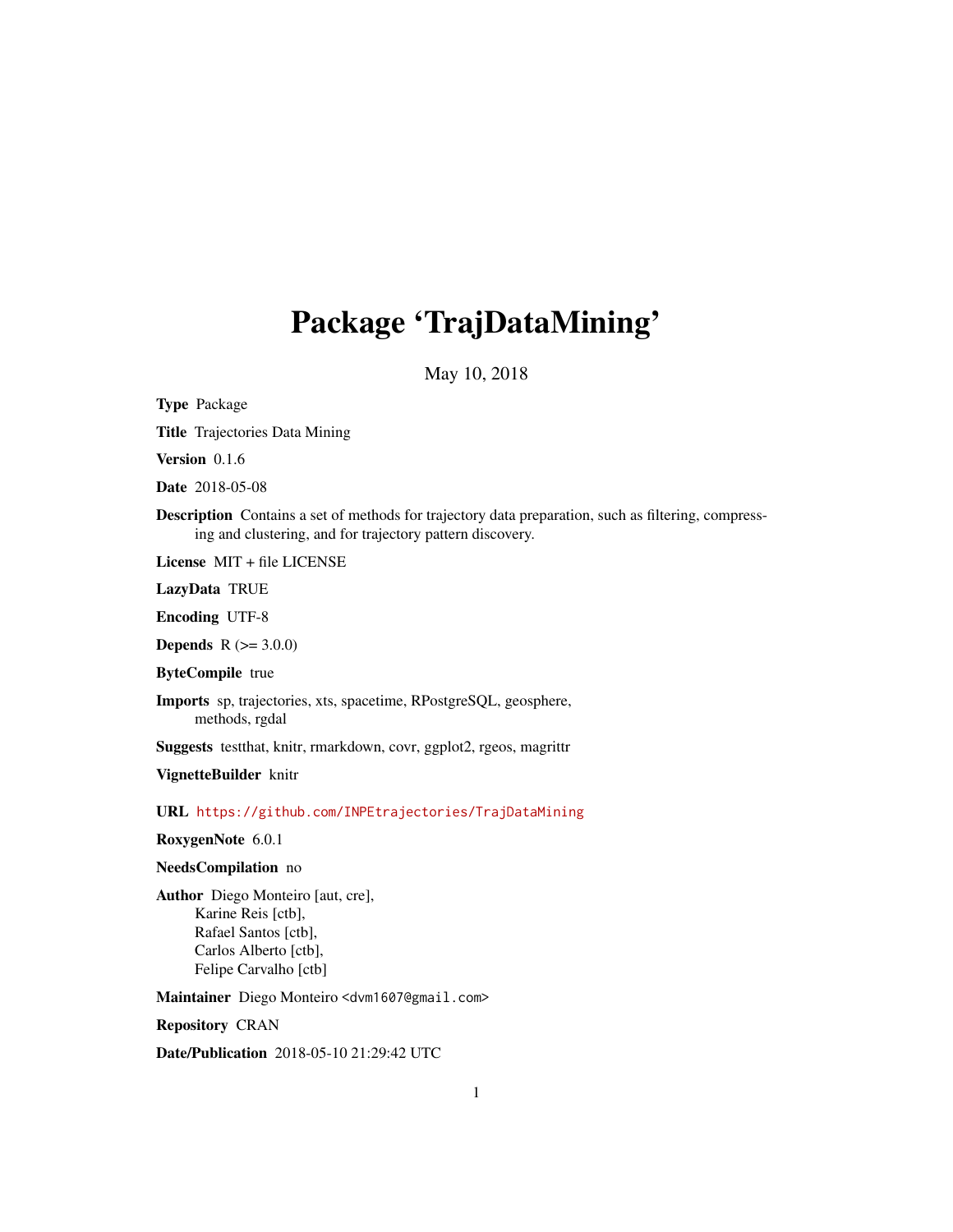## Package 'TrajDataMining'

May 10, 2018

Type Package

Title Trajectories Data Mining

Version 0.1.6

Date 2018-05-08

Description Contains a set of methods for trajectory data preparation, such as filtering, compressing and clustering, and for trajectory pattern discovery.

License MIT + file LICENSE

LazyData TRUE

Encoding UTF-8

**Depends**  $R (= 3.0.0)$ 

ByteCompile true

Imports sp, trajectories, xts, spacetime, RPostgreSQL, geosphere, methods, rgdal

Suggests testthat, knitr, rmarkdown, covr, ggplot2, rgeos, magrittr

VignetteBuilder knitr

URL <https://github.com/INPEtrajectories/TrajDataMining>

RoxygenNote 6.0.1

#### NeedsCompilation no

Author Diego Monteiro [aut, cre], Karine Reis [ctb], Rafael Santos [ctb], Carlos Alberto [ctb], Felipe Carvalho [ctb]

Maintainer Diego Monteiro <dvm1607@gmail.com>

Repository CRAN

Date/Publication 2018-05-10 21:29:42 UTC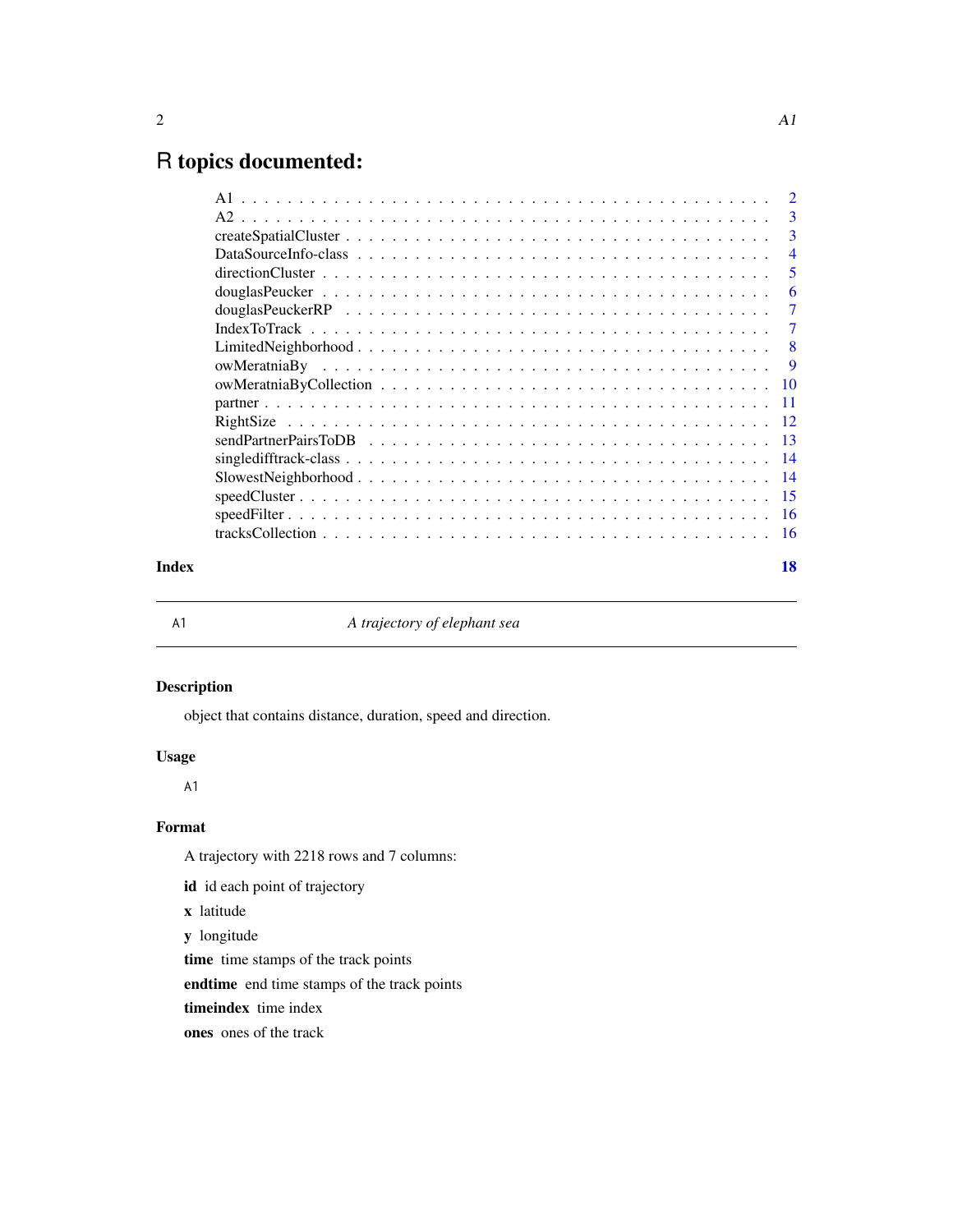## <span id="page-1-0"></span>R topics documented:

|       | $\overline{4}$ |
|-------|----------------|
|       | 5              |
|       | -6             |
|       | $\overline{7}$ |
|       |                |
|       | $\sim 8$       |
|       | 9              |
|       |                |
|       |                |
|       |                |
|       |                |
|       |                |
|       |                |
|       |                |
|       |                |
|       |                |
| Index | 18             |

A1 *A trajectory of elephant sea*

#### Description

object that contains distance, duration, speed and direction.

#### Usage

A1

#### Format

A trajectory with 2218 rows and 7 columns:

id id each point of trajectory

x latitude

y longitude

time time stamps of the track points

endtime end time stamps of the track points

timeindex time index

ones ones of the track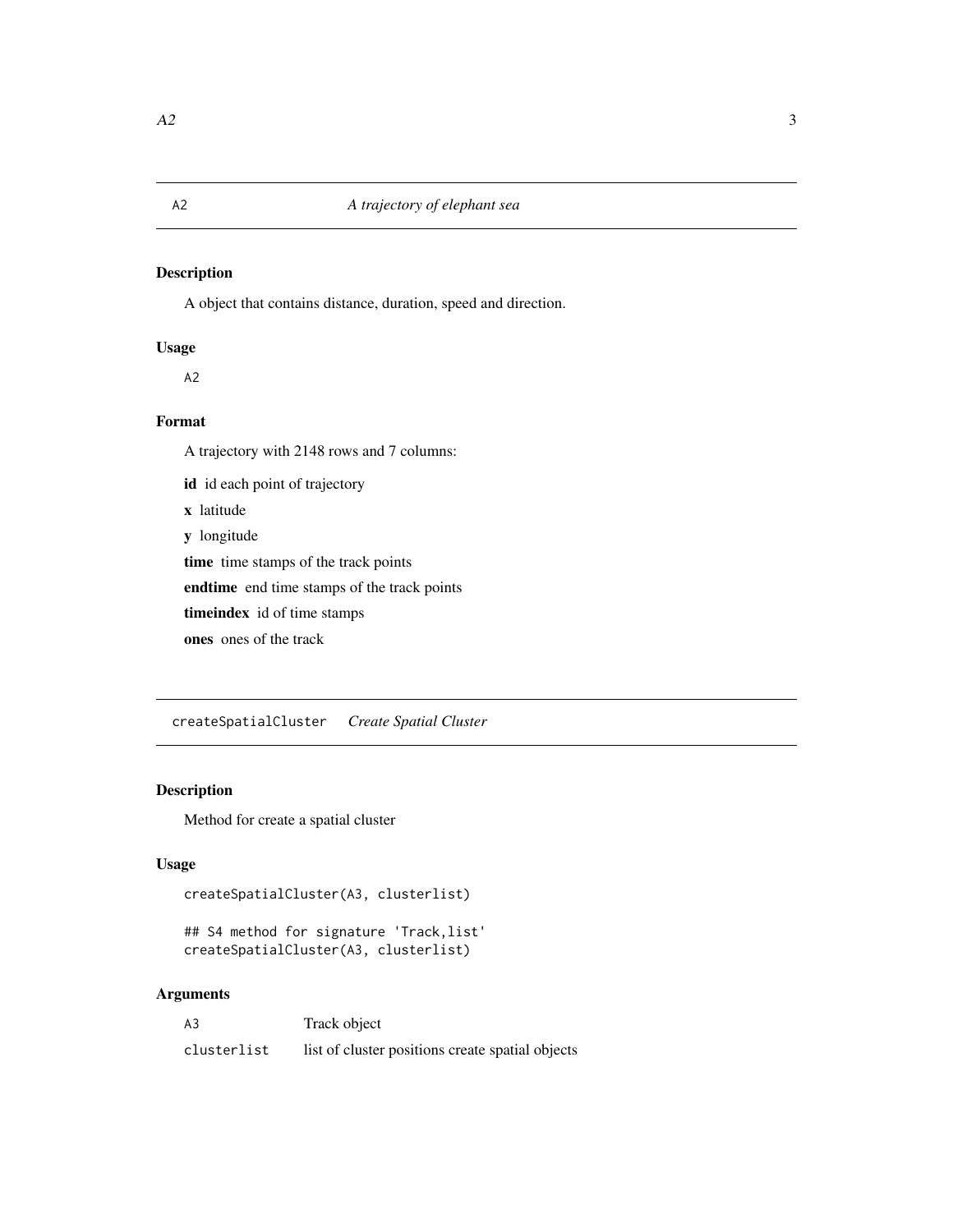<span id="page-2-0"></span>A object that contains distance, duration, speed and direction.

#### Usage

A2

#### Format

A trajectory with 2148 rows and 7 columns:

id id each point of trajectory

x latitude

y longitude

time time stamps of the track points

endtime end time stamps of the track points

timeindex id of time stamps

ones ones of the track

createSpatialCluster *Create Spatial Cluster*

#### Description

Method for create a spatial cluster

#### Usage

```
createSpatialCluster(A3, clusterlist)
```
## S4 method for signature 'Track,list' createSpatialCluster(A3, clusterlist)

#### Arguments

| A <sub>3</sub> | Track object                                     |
|----------------|--------------------------------------------------|
| clusterlist    | list of cluster positions create spatial objects |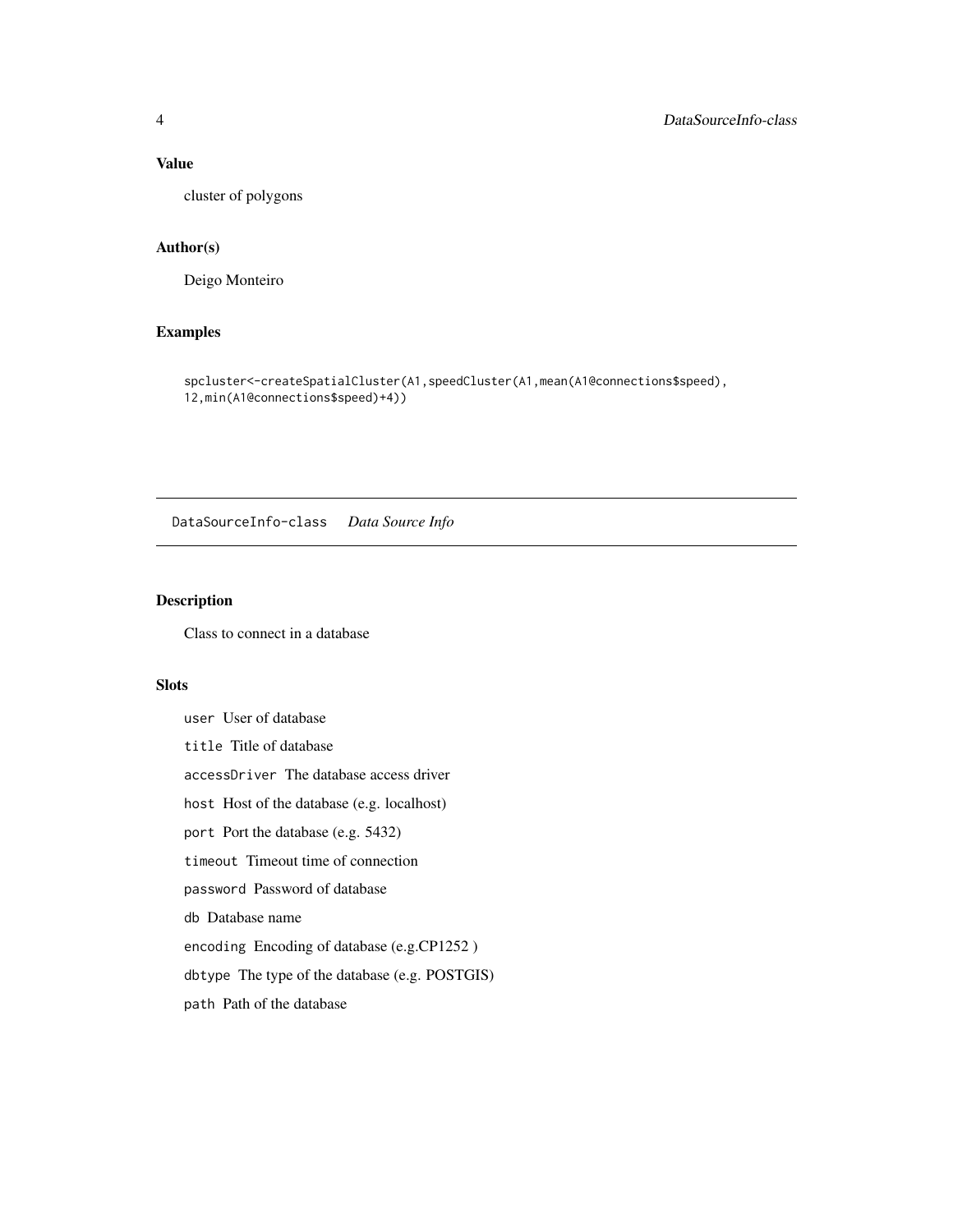#### <span id="page-3-0"></span>Value

cluster of polygons

#### Author(s)

Deigo Monteiro

#### Examples

```
spcluster<-createSpatialCluster(A1,speedCluster(A1,mean(A1@connections$speed),
12,min(A1@connections$speed)+4))
```
DataSourceInfo-class *Data Source Info*

#### Description

Class to connect in a database

#### Slots

user User of database title Title of database accessDriver The database access driver host Host of the database (e.g. localhost) port Port the database (e.g. 5432) timeout Timeout time of connection password Password of database db Database name encoding Encoding of database (e.g.CP1252 ) dbtype The type of the database (e.g. POSTGIS) path Path of the database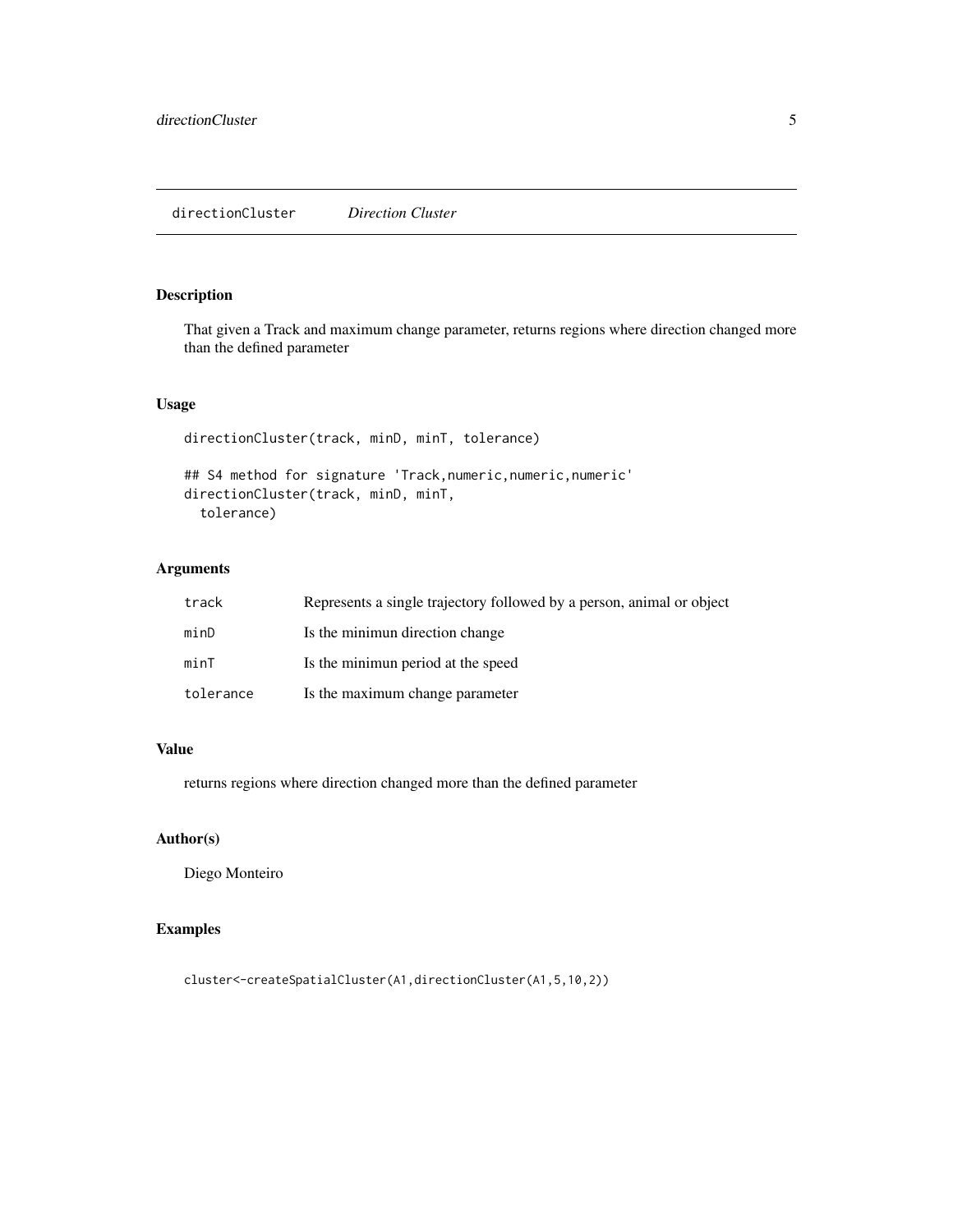<span id="page-4-0"></span>That given a Track and maximum change parameter, returns regions where direction changed more than the defined parameter

#### Usage

```
directionCluster(track, minD, minT, tolerance)
## S4 method for signature 'Track,numeric,numeric,numeric'
directionCluster(track, minD, minT,
  tolerance)
```
#### Arguments

| track     | Represents a single trajectory followed by a person, animal or object |
|-----------|-----------------------------------------------------------------------|
| minD      | Is the minimun direction change                                       |
| minT      | Is the minimum period at the speed                                    |
| tolerance | Is the maximum change parameter                                       |

#### Value

returns regions where direction changed more than the defined parameter

#### Author(s)

Diego Monteiro

#### Examples

cluster<-createSpatialCluster(A1,directionCluster(A1,5,10,2))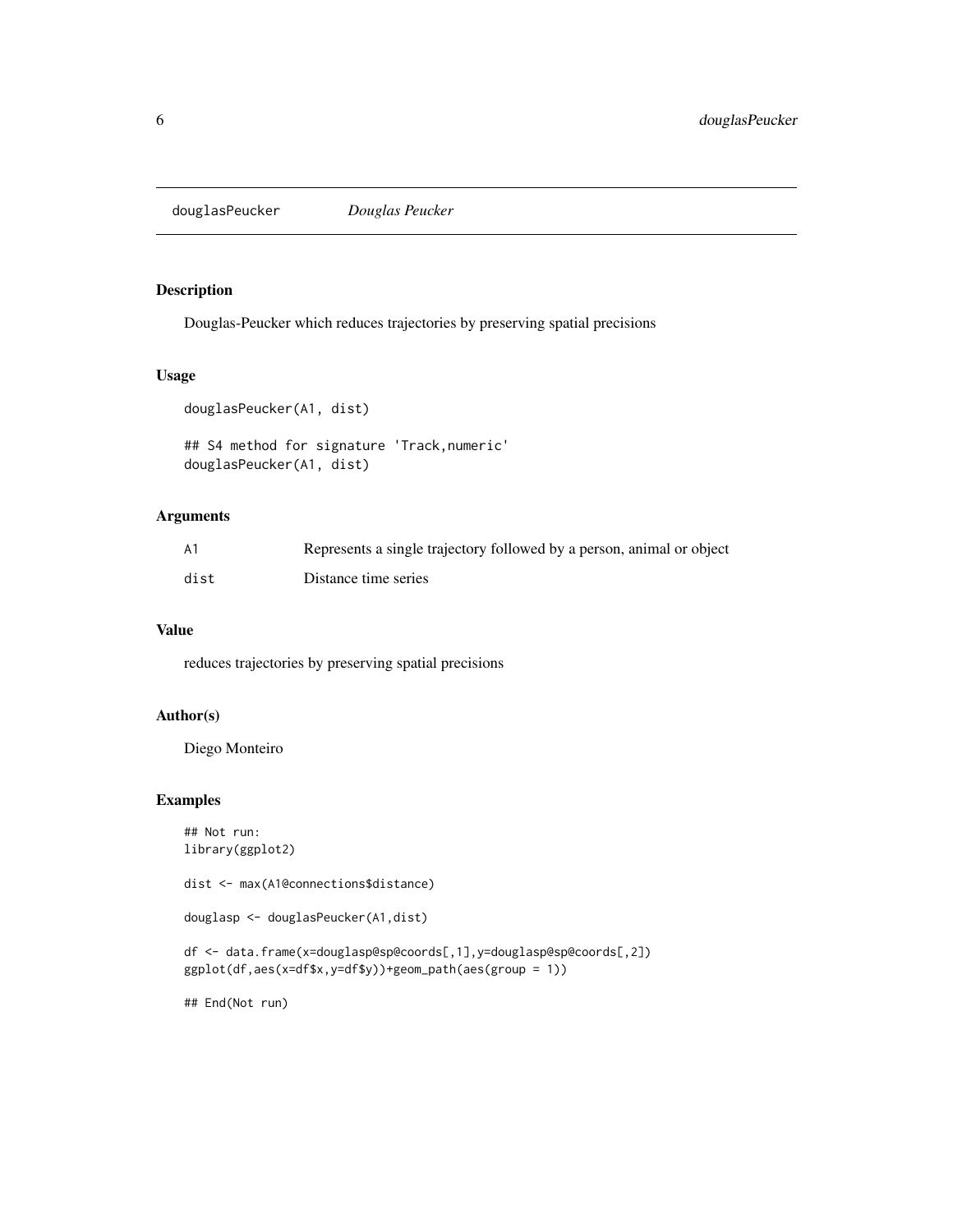<span id="page-5-0"></span>douglasPeucker *Douglas Peucker*

#### Description

Douglas-Peucker which reduces trajectories by preserving spatial precisions

#### Usage

```
douglasPeucker(A1, dist)
```

```
## S4 method for signature 'Track,numeric'
douglasPeucker(A1, dist)
```
#### Arguments

| A1   | Represents a single trajectory followed by a person, animal or object |
|------|-----------------------------------------------------------------------|
| dist | Distance time series                                                  |

#### Value

reduces trajectories by preserving spatial precisions

#### Author(s)

Diego Monteiro

#### Examples

## Not run: library(ggplot2)

dist <- max(A1@connections\$distance)

```
douglasp <- douglasPeucker(A1,dist)
```
df <- data.frame(x=douglasp@sp@coords[,1],y=douglasp@sp@coords[,2]) ggplot(df,aes(x=df\$x,y=df\$y))+geom\_path(aes(group = 1))

## End(Not run)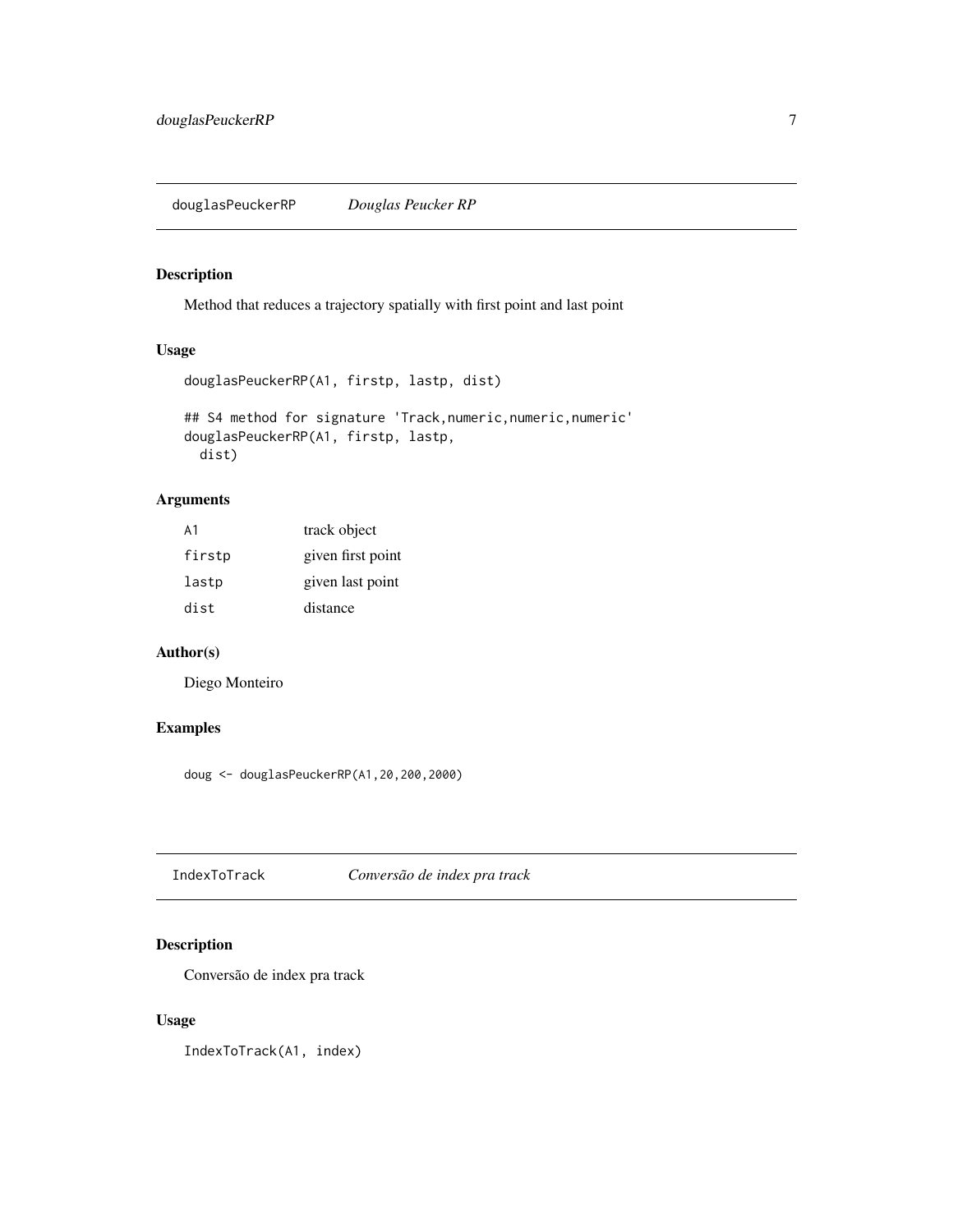<span id="page-6-0"></span>Method that reduces a trajectory spatially with first point and last point

#### Usage

```
douglasPeuckerRP(A1, firstp, lastp, dist)
## S4 method for signature 'Track, numeric, numeric, numeric'
douglasPeuckerRP(A1, firstp, lastp,
  dist)
```
#### Arguments

| A1     | track object      |
|--------|-------------------|
| firstp | given first point |
| lastp  | given last point  |
| dist   | distance          |

#### Author(s)

Diego Monteiro

#### Examples

doug <- douglasPeuckerRP(A1,20,200,2000)

IndexToTrack *Conversão de index pra track*

#### Description

Conversão de index pra track

#### Usage

IndexToTrack(A1, index)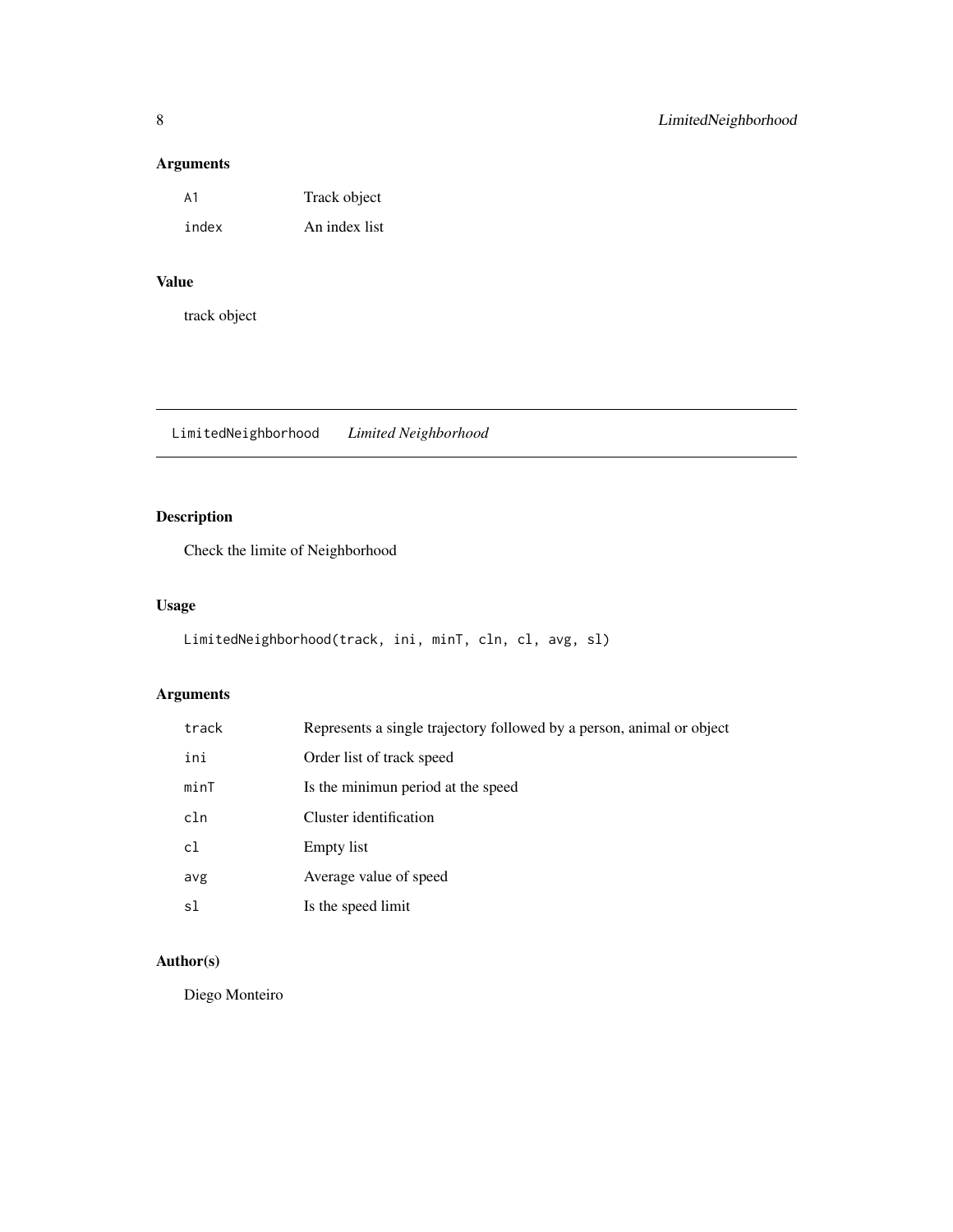#### <span id="page-7-0"></span>Arguments

| Α1    | Track object  |
|-------|---------------|
| index | An index list |

#### Value

track object

LimitedNeighborhood *Limited Neighborhood*

### Description

Check the limite of Neighborhood

#### Usage

```
LimitedNeighborhood(track, ini, minT, cln, cl, avg, sl)
```
### Arguments

| track | Represents a single trajectory followed by a person, animal or object |
|-------|-----------------------------------------------------------------------|
| ini   | Order list of track speed                                             |
| minT  | Is the minimun period at the speed                                    |
| cln   | Cluster identification                                                |
| cl    | Empty list                                                            |
| avg   | Average value of speed                                                |
| sl    | Is the speed limit                                                    |

### Author(s)

Diego Monteiro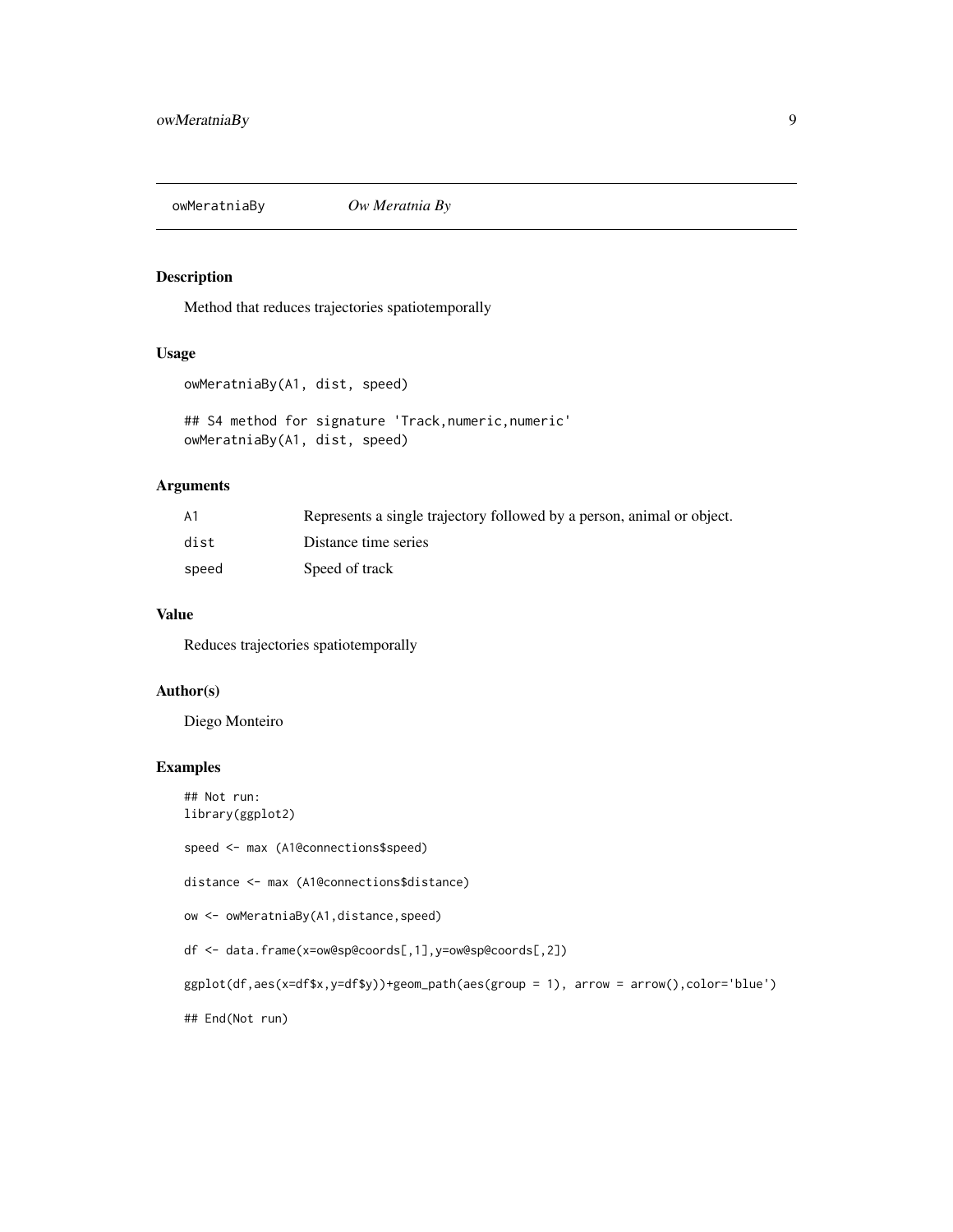<span id="page-8-0"></span>

Method that reduces trajectories spatiotemporally

#### Usage

```
owMeratniaBy(A1, dist, speed)
```

```
## S4 method for signature 'Track, numeric, numeric'
owMeratniaBy(A1, dist, speed)
```
#### Arguments

| A <sub>1</sub> | Represents a single trajectory followed by a person, animal or object. |
|----------------|------------------------------------------------------------------------|
| dist           | Distance time series                                                   |
| speed          | Speed of track                                                         |

#### Value

Reduces trajectories spatiotemporally

#### Author(s)

Diego Monteiro

#### Examples

## Not run: library(ggplot2)

speed <- max (A1@connections\$speed)

```
distance <- max (A1@connections$distance)
```

```
ow <- owMeratniaBy(A1,distance,speed)
```

```
df <- data.frame(x=ow@sp@coords[,1],y=ow@sp@coords[,2])
```
ggplot(df,aes(x=df\$x,y=df\$y))+geom\_path(aes(group = 1), arrow = arrow(),color='blue')

## End(Not run)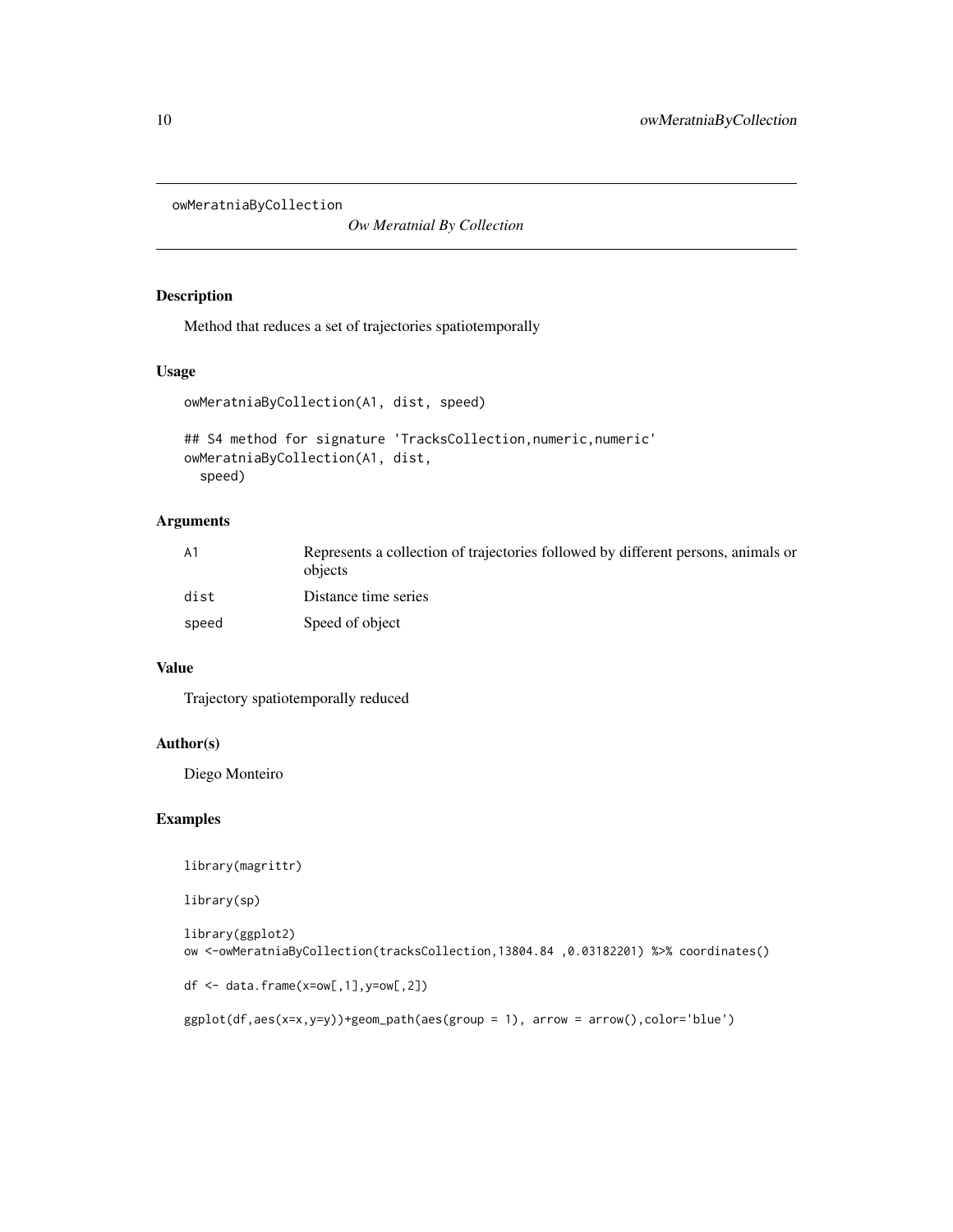<span id="page-9-0"></span>owMeratniaByCollection

*Ow Meratnial By Collection*

#### Description

Method that reduces a set of trajectories spatiotemporally

#### Usage

```
owMeratniaByCollection(A1, dist, speed)
```

```
## S4 method for signature 'TracksCollection, numeric, numeric'
owMeratniaByCollection(A1, dist,
  speed)
```
#### Arguments

| A1    | Represents a collection of trajectories followed by different persons, animals or<br>objects |
|-------|----------------------------------------------------------------------------------------------|
| dist  | Distance time series                                                                         |
| speed | Speed of object                                                                              |

#### Value

Trajectory spatiotemporally reduced

#### Author(s)

Diego Monteiro

#### Examples

library(magrittr)

library(sp)

```
library(ggplot2)
ow <-owMeratniaByCollection(tracksCollection,13804.84 ,0.03182201) %>% coordinates()
df \leftarrow data . frame(x=ow[, 1], y=ow[, 2])ggplot(df,aes(x=x,y=y))+geom_path(aes(group = 1), arrow = arrow(),color='blue')
```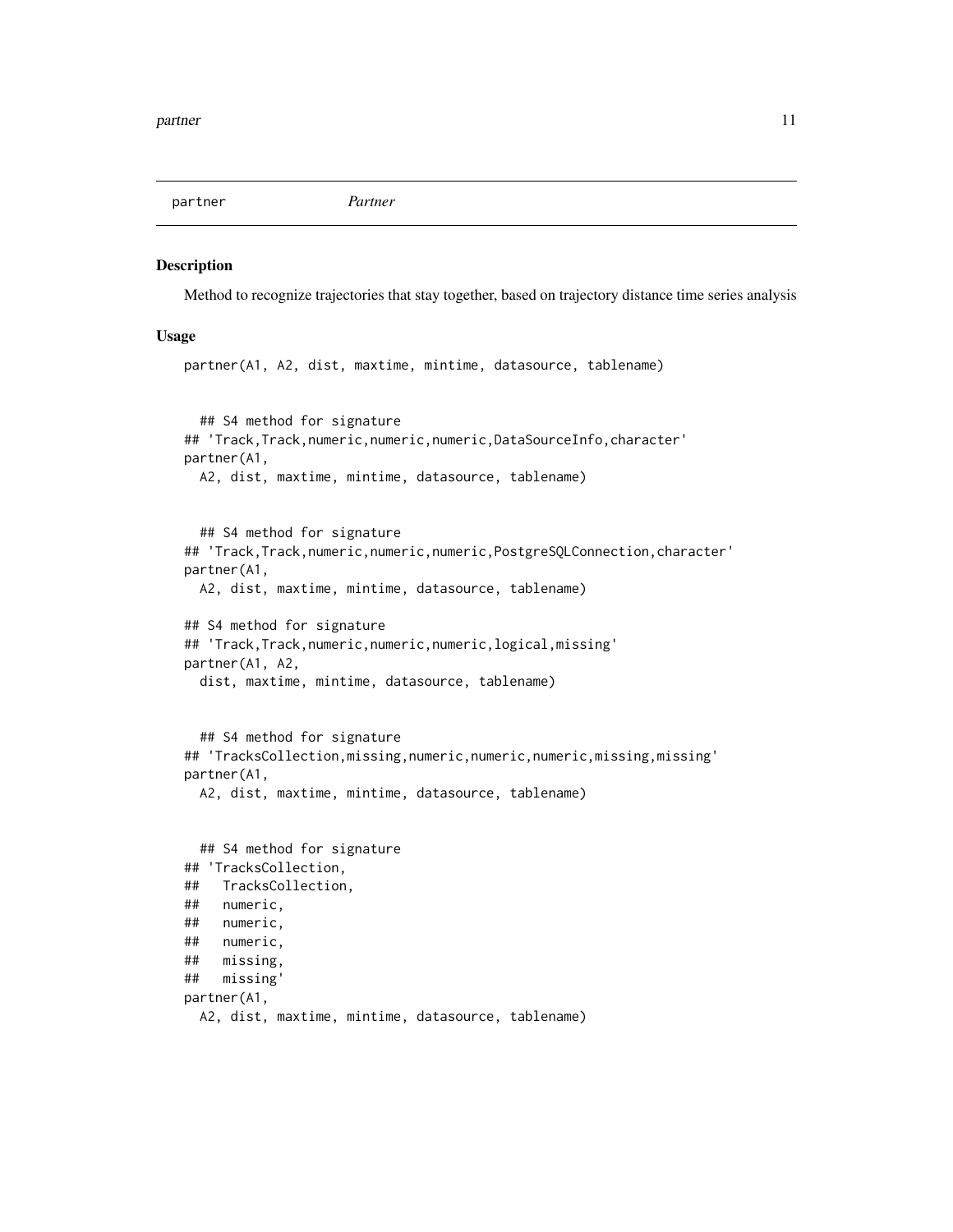<span id="page-10-0"></span>

Method to recognize trajectories that stay together, based on trajectory distance time series analysis

#### Usage

```
partner(A1, A2, dist, maxtime, mintime, datasource, tablename)
  ## S4 method for signature
## 'Track,Track,numeric,numeric,numeric,DataSourceInfo,character'
partner(A1,
 A2, dist, maxtime, mintime, datasource, tablename)
  ## S4 method for signature
## 'Track,Track,numeric,numeric,numeric,PostgreSQLConnection,character'
partner(A1,
 A2, dist, maxtime, mintime, datasource, tablename)
## S4 method for signature
## 'Track,Track,numeric,numeric,numeric,logical,missing'
partner(A1, A2,
  dist, maxtime, mintime, datasource, tablename)
  ## S4 method for signature
## 'TracksCollection,missing,numeric,numeric,numeric,missing,missing'
partner(A1,
 A2, dist, maxtime, mintime, datasource, tablename)
 ## S4 method for signature
## 'TracksCollection,
## TracksCollection,
## numeric,
## numeric,
## numeric,
## missing,
## missing'
partner(A1,
 A2, dist, maxtime, mintime, datasource, tablename)
```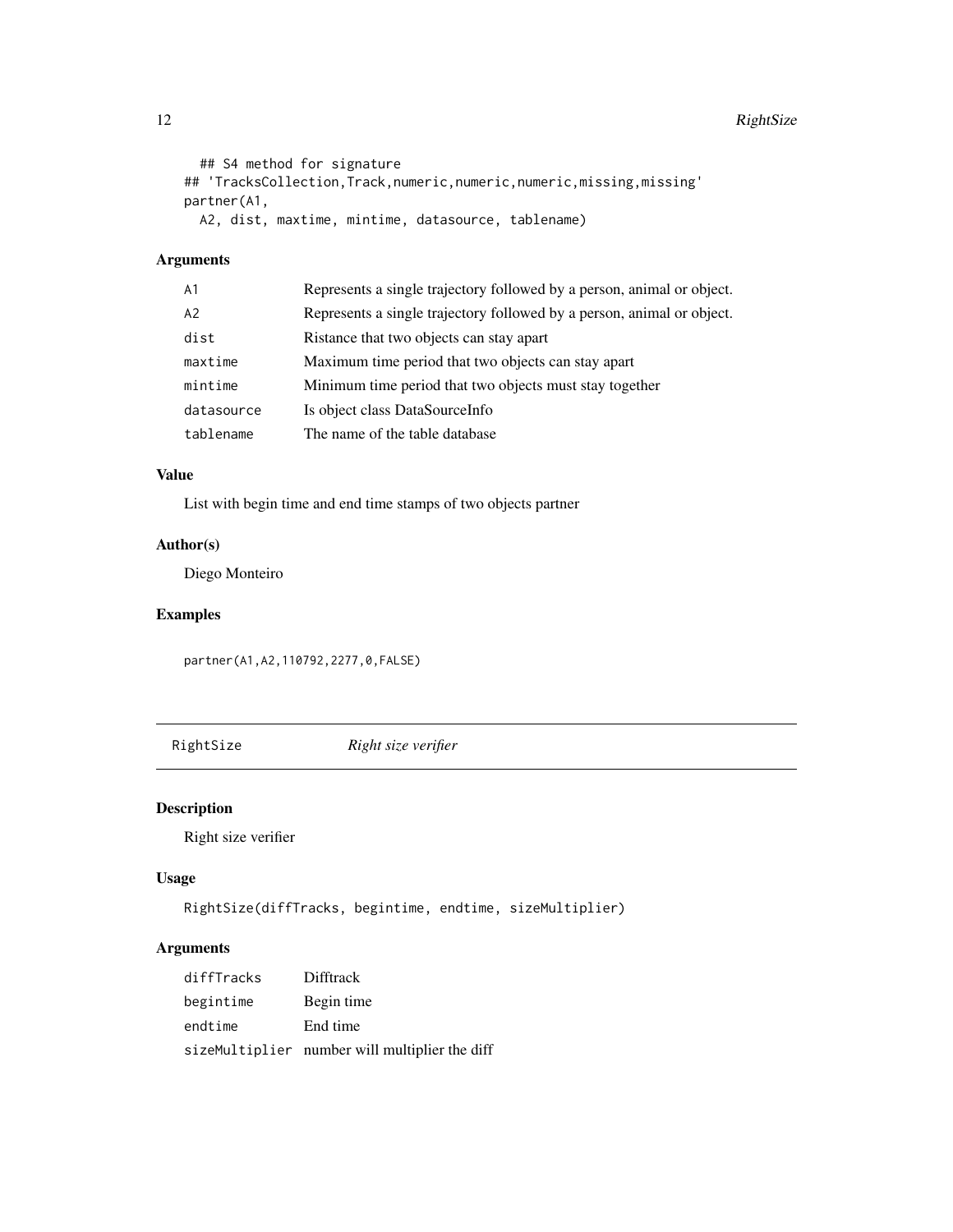```
## S4 method for signature
## 'TracksCollection, Track, numeric, numeric, numeric, missing, missing'
partner(A1,
 A2, dist, maxtime, mintime, datasource, tablename)
```
#### Arguments

| A1         | Represents a single trajectory followed by a person, animal or object. |
|------------|------------------------------------------------------------------------|
| A2         | Represents a single trajectory followed by a person, animal or object. |
| dist       | Ristance that two objects can stay apart                               |
| maxtime    | Maximum time period that two objects can stay apart                    |
| mintime    | Minimum time period that two objects must stay together                |
| datasource | Is object class DataSourceInfo                                         |
| tablename  | The name of the table database                                         |

#### Value

List with begin time and end time stamps of two objects partner

#### Author(s)

Diego Monteiro

#### Examples

partner(A1,A2,110792,2277,0,FALSE)

RightSize *Right size verifier*

#### Description

Right size verifier

#### Usage

RightSize(diffTracks, begintime, endtime, sizeMultiplier)

#### Arguments

| diffTracks | <b>Difftrack</b>                               |
|------------|------------------------------------------------|
| begintime  | Begin time                                     |
| endtime    | End time                                       |
|            | sizeMultiplier number will multiplier the diff |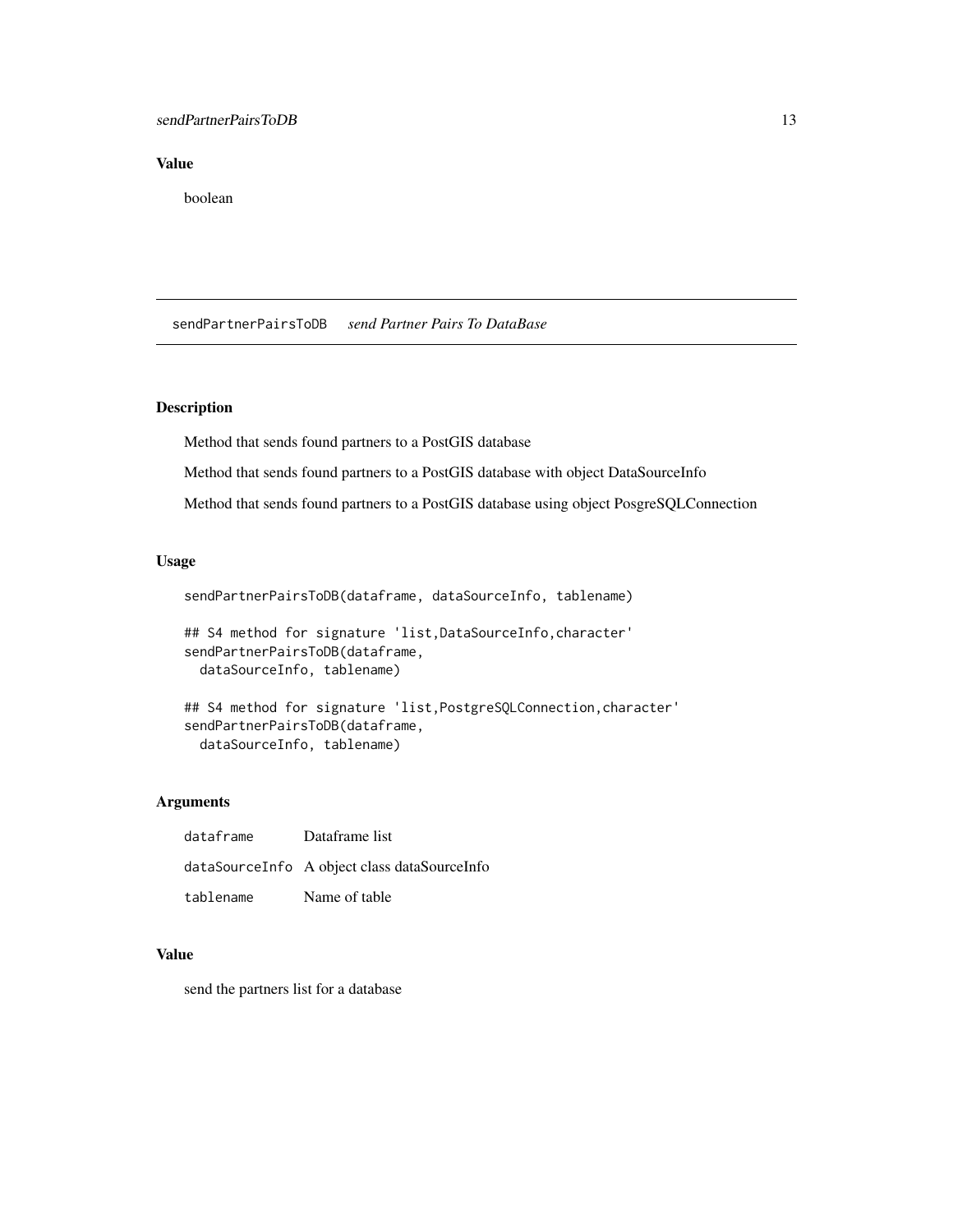#### <span id="page-12-0"></span>Value

boolean

sendPartnerPairsToDB *send Partner Pairs To DataBase*

#### Description

Method that sends found partners to a PostGIS database

Method that sends found partners to a PostGIS database with object DataSourceInfo

Method that sends found partners to a PostGIS database using object PosgreSQLConnection

#### Usage

sendPartnerPairsToDB(dataframe, dataSourceInfo, tablename)

```
## S4 method for signature 'list,DataSourceInfo,character'
sendPartnerPairsToDB(dataframe,
 dataSourceInfo, tablename)
```

```
## S4 method for signature 'list,PostgreSQLConnection,character'
sendPartnerPairsToDB(dataframe,
 dataSourceInfo, tablename)
```
#### Arguments

| dataframe | Dataframe list                               |
|-----------|----------------------------------------------|
|           | dataSourceInfo A object class dataSourceInfo |
| tablename | Name of table                                |

#### Value

send the partners list for a database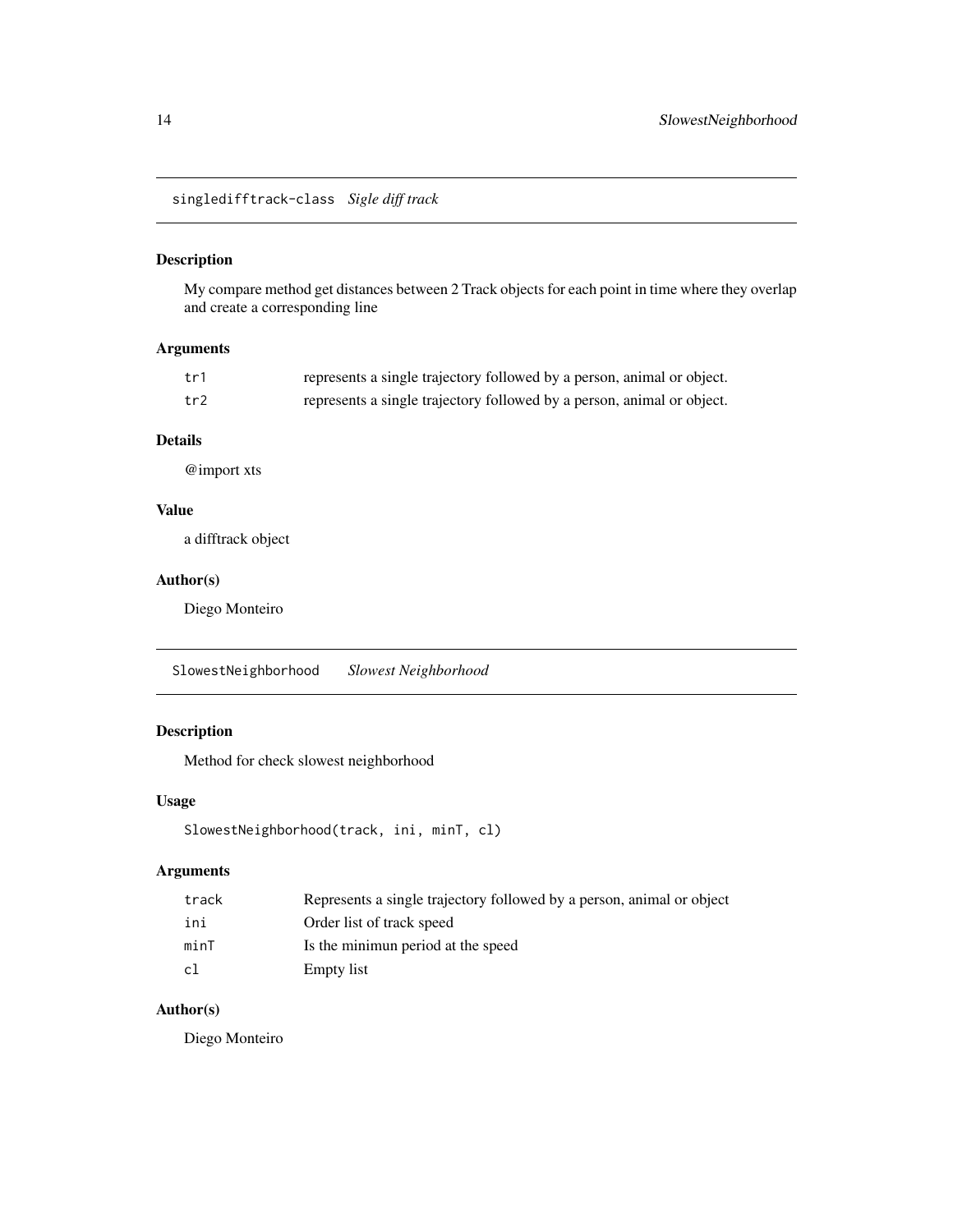<span id="page-13-0"></span>singledifftrack-class *Sigle diff track*

#### Description

My compare method get distances between 2 Track objects for each point in time where they overlap and create a corresponding line

#### Arguments

| tr1 | represents a single trajectory followed by a person, animal or object. |
|-----|------------------------------------------------------------------------|
| tr2 | represents a single trajectory followed by a person, animal or object. |

#### Details

@import xts

#### Value

a difftrack object

#### Author(s)

Diego Monteiro

SlowestNeighborhood *Slowest Neighborhood*

#### Description

Method for check slowest neighborhood

#### Usage

```
SlowestNeighborhood(track, ini, minT, cl)
```
#### Arguments

| track | Represents a single trajectory followed by a person, animal or object |
|-------|-----------------------------------------------------------------------|
| ini   | Order list of track speed                                             |
| minT  | Is the minimun period at the speed                                    |
| c1    | Empty list                                                            |

#### Author(s)

Diego Monteiro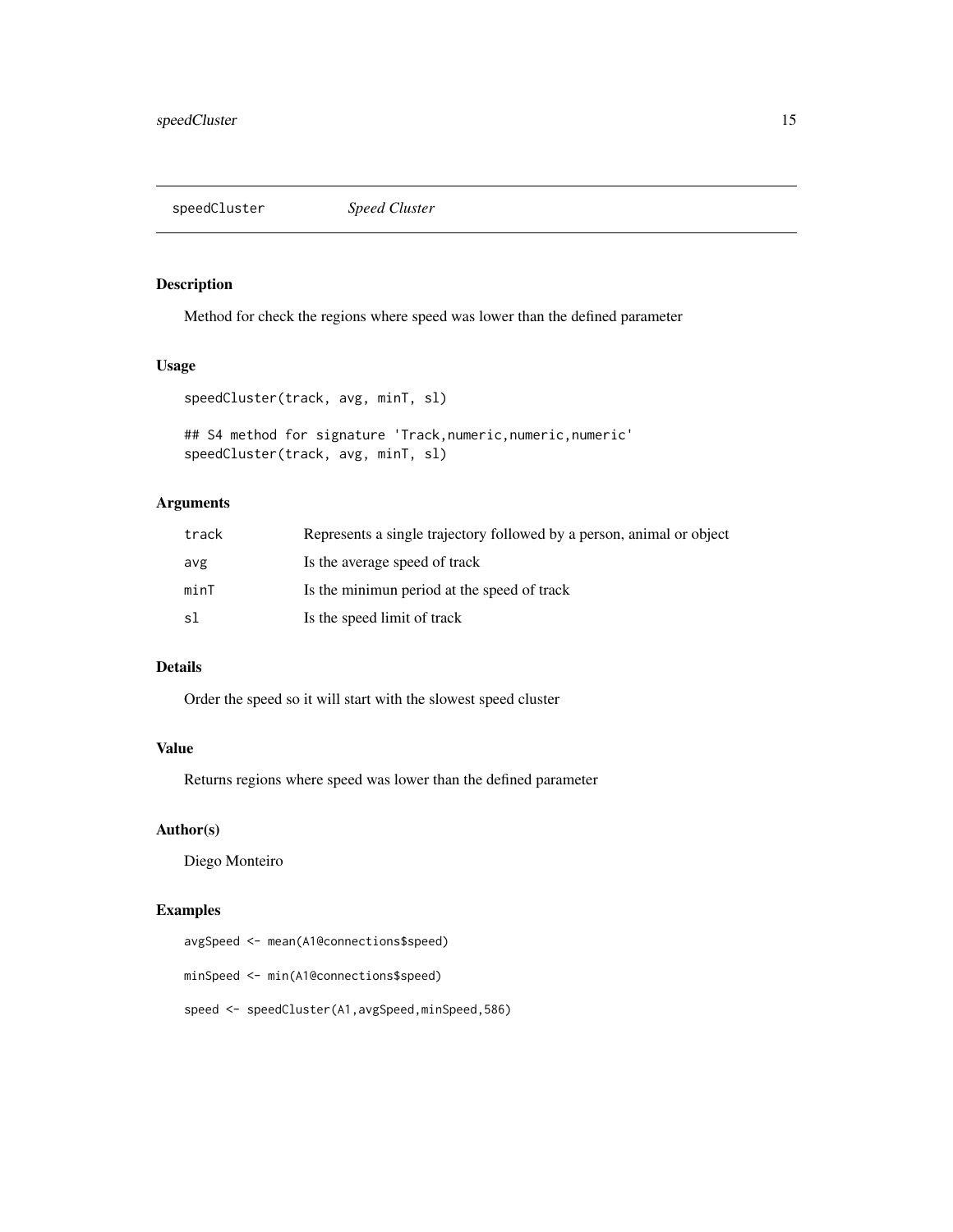<span id="page-14-0"></span>speedCluster *Speed Cluster*

#### Description

Method for check the regions where speed was lower than the defined parameter

#### Usage

```
speedCluster(track, avg, minT, sl)
```

```
## S4 method for signature 'Track, numeric, numeric, numeric'
speedCluster(track, avg, minT, sl)
```
#### Arguments

| track | Represents a single trajectory followed by a person, animal or object |
|-------|-----------------------------------------------------------------------|
| avg   | Is the average speed of track                                         |
| minT  | Is the minimum period at the speed of track                           |
| sl    | Is the speed limit of track                                           |

#### Details

Order the speed so it will start with the slowest speed cluster

#### Value

Returns regions where speed was lower than the defined parameter

#### Author(s)

Diego Monteiro

#### Examples

avgSpeed <- mean(A1@connections\$speed) minSpeed <- min(A1@connections\$speed) speed <- speedCluster(A1,avgSpeed,minSpeed,586)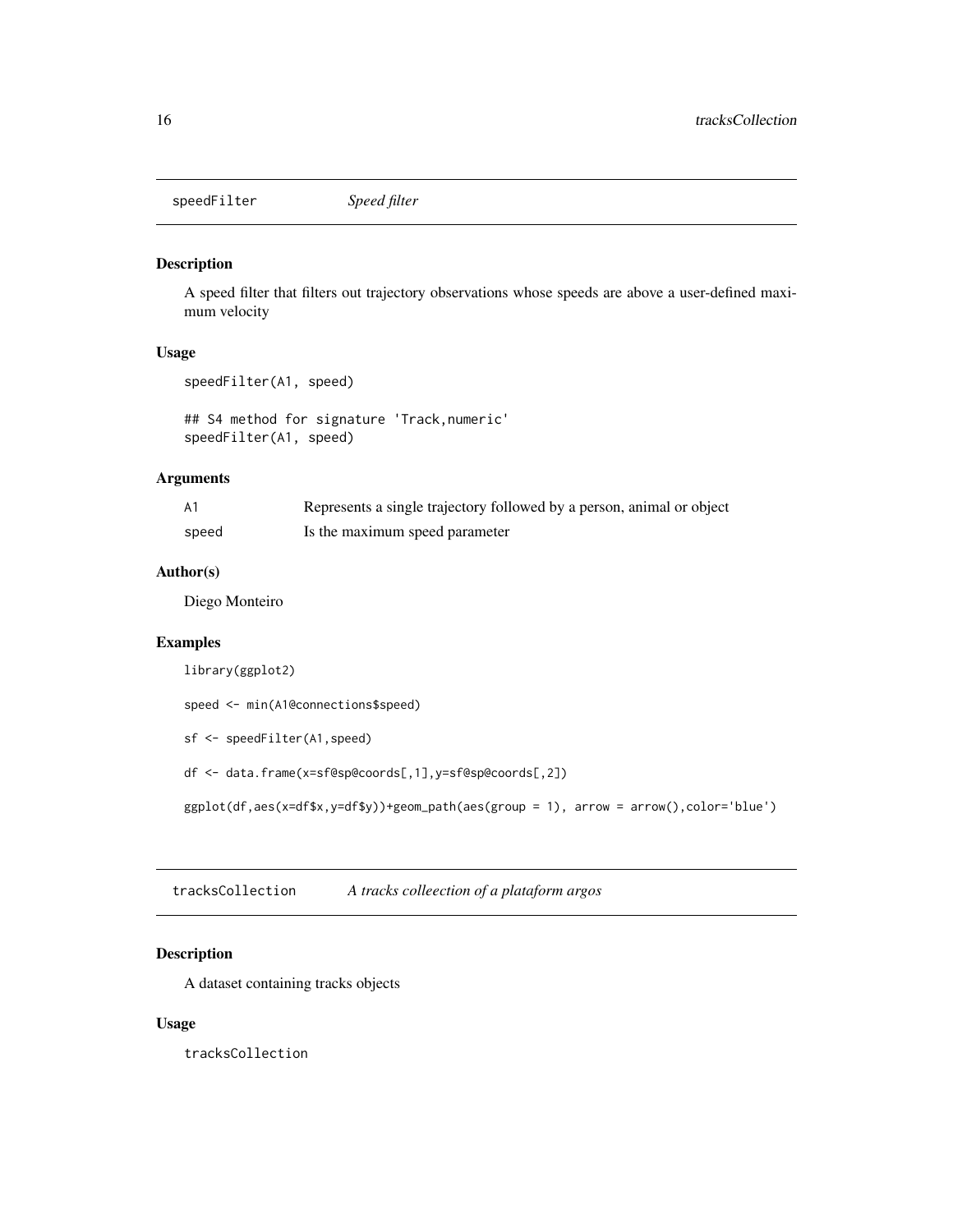<span id="page-15-0"></span>speedFilter *Speed filter*

#### Description

A speed filter that filters out trajectory observations whose speeds are above a user-defined maximum velocity

#### Usage

speedFilter(A1, speed)

## S4 method for signature 'Track,numeric' speedFilter(A1, speed)

#### Arguments

| - A1  | Represents a single trajectory followed by a person, animal or object |
|-------|-----------------------------------------------------------------------|
| speed | Is the maximum speed parameter                                        |

#### Author(s)

Diego Monteiro

#### Examples

library(ggplot2)

speed <- min(A1@connections\$speed)

sf <- speedFilter(A1,speed)

df <- data.frame(x=sf@sp@coords[,1],y=sf@sp@coords[,2])

ggplot(df,aes(x=df\$x,y=df\$y))+geom\_path(aes(group = 1), arrow = arrow(),color='blue')

tracksCollection *A tracks colleection of a plataform argos*

#### Description

A dataset containing tracks objects

#### Usage

tracksCollection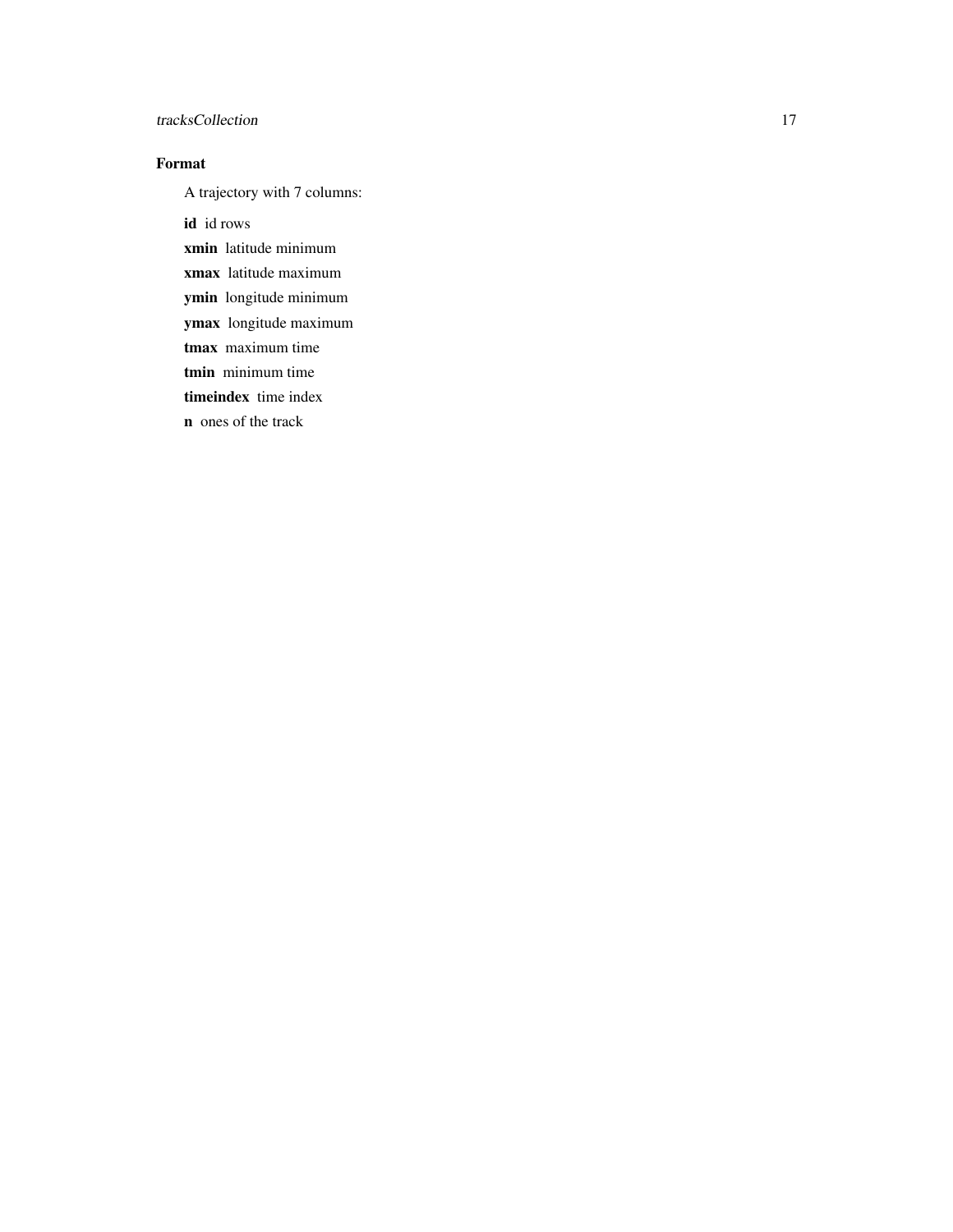#### tracksCollection 17

#### Format

A trajectory with 7 columns:

id id rows

xmin latitude minimum

xmax latitude maximum

ymin longitude minimum

ymax longitude maximum

tmax maximum time

tmin minimum time

timeindex time index

n ones of the track